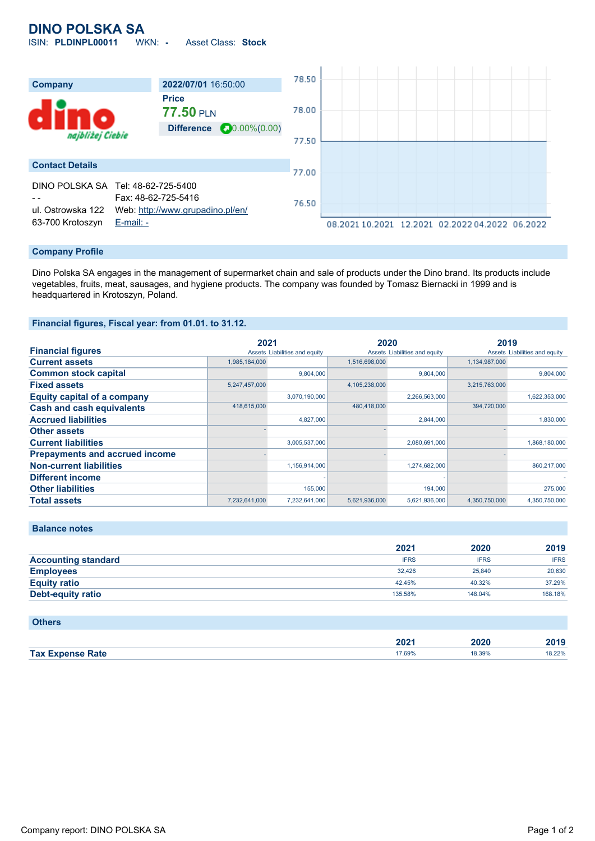# **DINO POLSKA SA**

ISIN: **PLDINPL00011** WKN: **-** Asset Class: **Stock**



#### **Company Profile**

Dino Polska SA engages in the management of supermarket chain and sale of products under the Dino brand. Its products include vegetables, fruits, meat, sausages, and hygiene products. The company was founded by Tomasz Biernacki in 1999 and is headquartered in Krotoszyn, Poland.

### **Financial figures, Fiscal year: from 01.01. to 31.12.**

|                                       | 2021          |                               | 2020          |                               | 2019          |                               |
|---------------------------------------|---------------|-------------------------------|---------------|-------------------------------|---------------|-------------------------------|
| <b>Financial figures</b>              |               | Assets Liabilities and equity |               | Assets Liabilities and equity |               | Assets Liabilities and equity |
| <b>Current assets</b>                 | 1,985,184,000 |                               | 1,516,698,000 |                               | 1,134,987,000 |                               |
| <b>Common stock capital</b>           |               | 9.804.000                     |               | 9.804.000                     |               | 9,804,000                     |
| <b>Fixed assets</b>                   | 5,247,457,000 |                               | 4,105,238,000 |                               | 3,215,763,000 |                               |
| <b>Equity capital of a company</b>    |               | 3,070,190,000                 |               | 2,266,563,000                 |               | 1,622,353,000                 |
| <b>Cash and cash equivalents</b>      | 418,615,000   |                               | 480,418,000   |                               | 394,720,000   |                               |
| <b>Accrued liabilities</b>            |               | 4,827,000                     |               | 2,844,000                     |               | 1,830,000                     |
| <b>Other assets</b>                   |               |                               |               |                               |               |                               |
| <b>Current liabilities</b>            |               | 3,005,537,000                 |               | 2,080,691,000                 |               | 1,868,180,000                 |
| <b>Prepayments and accrued income</b> |               |                               |               |                               |               |                               |
| <b>Non-current liabilities</b>        |               | 1,156,914,000                 |               | 1,274,682,000                 |               | 860,217,000                   |
| <b>Different income</b>               |               |                               |               |                               |               |                               |
| <b>Other liabilities</b>              |               | 155,000                       |               | 194,000                       |               | 275,000                       |
| <b>Total assets</b>                   | 7,232,641,000 | 7,232,641,000                 | 5,621,936,000 | 5,621,936,000                 | 4,350,750,000 | 4,350,750,000                 |

### **Balance notes**

|                            | 2021        | 2020        | 2019        |
|----------------------------|-------------|-------------|-------------|
| <b>Accounting standard</b> | <b>IFRS</b> | <b>IFRS</b> | <b>IFRS</b> |
| <b>Employees</b>           | 32.426      | 25,840      | 20.630      |
| <b>Equity ratio</b>        | 42.45%      | 40.32%      | 37.29%      |
| <b>Debt-equity ratio</b>   | 135.58%     | 148.04%     | 168.18%     |

| <b>Others</b>           |        |        |        |
|-------------------------|--------|--------|--------|
|                         | 2021   | 2020   | 2019   |
| <b>Tax Expense Rate</b> | 17.69% | 18.39% | 18.22% |